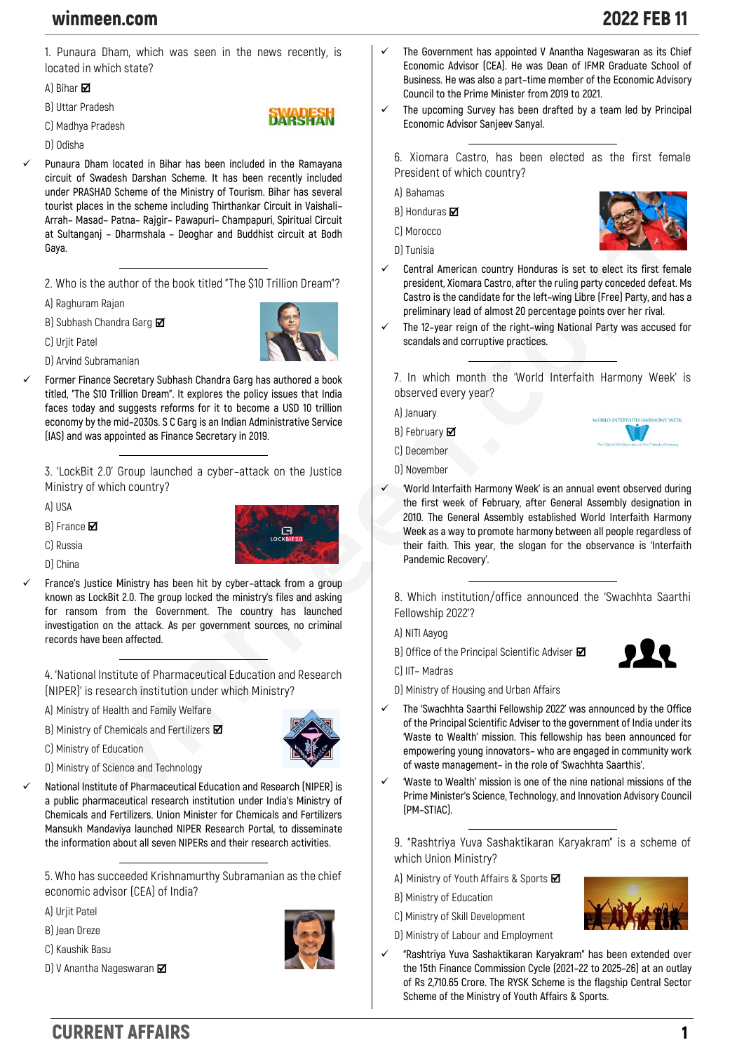## winmeen.com 2022 FEB 11

**1. Punaura Dham, which was seen in the news recently, is located in which state?**

**RWARESH** 

**A) Bihar** 

**B) Uttar Pradesh**

**C) Madhya Pradesh**

**D) Odisha**

✓ **Punaura Dham located in Bihar has been included in the Ramayana circuit of Swadesh Darshan Scheme. It has been recently included under PRASHAD Scheme of the Ministry of Tourism. Bihar has several tourist places in the scheme including Thirthankar Circuit in Vaishali– Arrah– Masad– Patna– Rajgir– Pawapuri– Champapuri, Spiritual Circuit at Sultanganj – Dharmshala – Deoghar and Buddhist circuit at Bodh Gaya.**

**2. Who is the author of the book titled "The \$10 Trillion Dream"?**

**A) Raghuram Rajan**

**B) Subhash Chandra Garg** 

**C) Urjit Patel**

**D) Arvind Subramanian**

✓ **Former Finance Secretary Subhash Chandra Garg has authored a book titled, "The \$10 Trillion Dream". It explores the policy issues that India faces today and suggests reforms for it to become a USD 10 trillion economy by the mid–2030s. S C Garg is an Indian Administrative Service (IAS) and was appointed as Finance Secretary in 2019.**

**3. 'LockBit 2.0' Group launched a cyber–attack on the Justice Ministry of which country?**

**A) USA**

**B) France** 

**C) Russia**



✓ **France's Justice Ministry has been hit by cyber–attack from a group known as LockBit 2.0. The group locked the ministry's files and asking for ransom from the Government. The country has launched investigation on the attack. As per government sources, no criminal records have been affected.**

**4. 'National Institute of Pharmaceutical Education and Research (NIPER)' is research institution under which Ministry?**

- **A) Ministry of Health and Family Welfare**
- **B) Ministry of Chemicals and Fertilizers**





- **D) Ministry of Science and Technology**
- ✓ **National Institute of Pharmaceutical Education and Research (NIPER) is a public pharmaceutical research institution under India's Ministry of Chemicals and Fertilizers. Union Minister for Chemicals and Fertilizers Mansukh Mandaviya launched NIPER Research Portal, to disseminate the information about all seven NIPERs and their research activities.**

**5. Who has succeeded Krishnamurthy Subramanian as the chief economic advisor (CEA) of India?**

**A) Urjit Patel**

**B) Jean Dreze**

- **C) Kaushik Basu**
- **D) V Anantha Nageswaran**



- ✓ **The Government has appointed V Anantha Nageswaran as its Chief Economic Advisor (CEA). He was Dean of IFMR Graduate School of Business. He was also a part–time member of the Economic Advisory Council to the Prime Minister from 2019 to 2021.**
- The upcoming Survey has been drafted by a team led by Principal **Economic Advisor Sanjeev Sanyal.**

**6. Xiomara Castro, has been elected as the first female President of which country?**

**A) Bahamas**

**B) Honduras** 

**C) Morocco**

**D) Tunisia**



- Central American country Honduras is set to elect its first female **president, Xiomara Castro, after the ruling party conceded defeat. Ms Castro is the candidate for the left–wing Libre (Free) Party, and has a preliminary lead of almost 20 percentage points over her rival.**
- ✓ **The 12–year reign of the right–wing National Party was accused for scandals and corruptive practices.**

**7. In which month the 'World Interfaith Harmony Week' is observed every year?**

**A) January**

**B) February**

**C) December**

- **D) November**
- ✓ **'World Interfaith Harmony Week' is an annual event observed during the first week of February, after General Assembly designation in 2010. The General Assembly established World Interfaith Harmony Week as a way to promote harmony between all people regardless of their faith. This year, the slogan for the observance is 'Interfaith Pandemic Recovery'.**

**8. Which institution/office announced the 'Swachhta Saarthi Fellowship 2022'?**

**A) NITI Aayog**

**B) Office of the Principal Scientific Adviser** 

**C) IIT– Madras**



- **D) Ministry of Housing and Urban Affairs**
- ✓ **The 'Swachhta Saarthi Fellowship 2022' was announced by the Office of the Principal Scientific Adviser to the government of India under its 'Waste to Wealth' mission. This fellowship has been announced for empowering young innovators– who are engaged in community work of waste management– in the role of 'Swachhta Saarthis'.**
- ✓ **'Waste to Wealth' mission is one of the nine national missions of the Prime Minister's Science, Technology, and Innovation Advisory Council (PM–STIAC).**

**9. "Rashtriya Yuva Sashaktikaran Karyakram" is a scheme of which Union Ministry?**

- **A) Ministry of Youth Affairs & Sports**
- **B) Ministry of Education**
- **C) Ministry of Skill Development**
- **D) Ministry of Labour and Employment**
- ✓ **"Rashtriya Yuva Sashaktikaran Karyakram" has been extended over the 15th Finance Commission Cycle (2021–22 to 2025–26) at an outlay of Rs 2,710.65 Crore. The RYSK Scheme is the flagship Central Sector Scheme of the Ministry of Youth Affairs & Sports.**